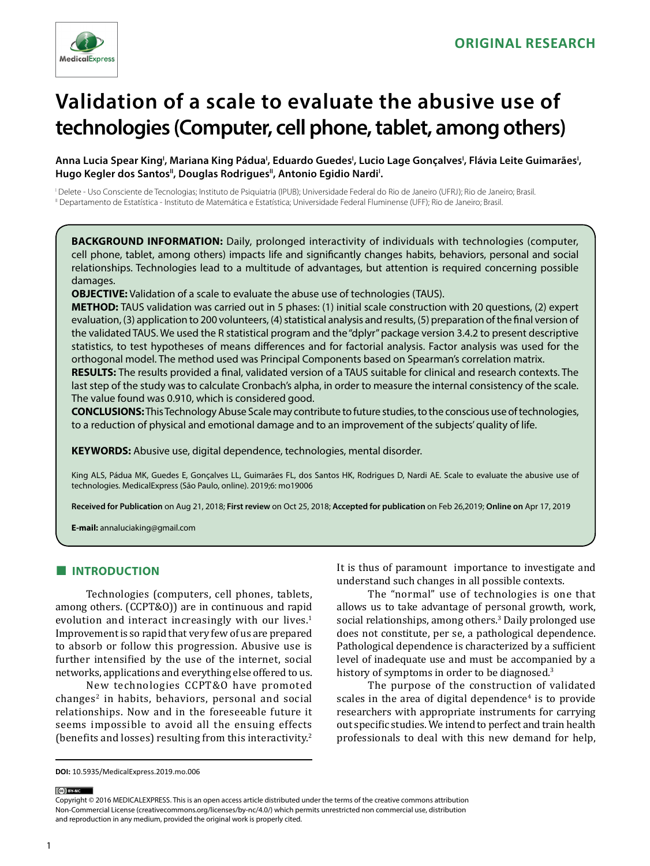

# **Validation of a scale to evaluate the abusive use of technologies (Computer, cell phone, tablet, among others)**

Anna Lucia Spear King<sup>ı</sup>, Mariana King Pádua<sup>ı</sup>, Eduardo Guedes<sup>ı</sup>, Lucio Lage Gonçalves<sup>ı</sup>, Flávia Leite Guimarães<sup>ı</sup>, Hugo Kegler dos Santos", Douglas Rodrigues", Antonio Egidio Nardi'.

I Delete - Uso Consciente de Tecnologias; Instituto de Psiquiatria (IPUB); Universidade Federal do Rio de Janeiro (UFRJ); Rio de Janeiro; Brasil. II Departamento de Estatística - Instituto de Matemática e Estatística; Universidade Federal Fluminense (UFF); Rio de Janeiro; Brasil.

**BACKGROUND INFORMATION:** Daily, prolonged interactivity of individuals with technologies (computer, cell phone, tablet, among others) impacts life and significantly changes habits, behaviors, personal and social relationships. Technologies lead to a multitude of advantages, but attention is required concerning possible damages.

**OBJECTIVE:** Validation of a scale to evaluate the abuse use of technologies (TAUS).

**METHOD:** TAUS validation was carried out in 5 phases: (1) initial scale construction with 20 questions, (2) expert evaluation, (3) application to 200 volunteers, (4) statistical analysis and results, (5) preparation of the final version of the validated TAUS. We used the R statistical program and the "dplyr" package version 3.4.2 to present descriptive statistics, to test hypotheses of means differences and for factorial analysis. Factor analysis was used for the orthogonal model. The method used was Principal Components based on Spearman's correlation matrix.

**RESULTS:** The results provided a final, validated version of a TAUS suitable for clinical and research contexts. The last step of the study was to calculate Cronbach's alpha, in order to measure the internal consistency of the scale. The value found was 0.910, which is considered good.

**CONCLUSIONS:** This Technology Abuse Scale may contribute to future studies, to the conscious use of technologies, to a reduction of physical and emotional damage and to an improvement of the subjects' quality of life.

**KEYWORDS:** Abusive use, digital dependence, technologies, mental disorder.

King ALS, Pádua MK, Guedes E, Gonçalves LL, Guimarães FL, dos Santos HK, Rodrigues D, Nardi AE. Scale to evaluate the abusive use of technologies. MedicalExpress (São Paulo, online). 2019;6: mo19006

**Received for Publication** on Aug 21, 2018; **First review** on Oct 25, 2018; **Accepted for publication** on Feb 26,2019; **Online on** Apr 17, 2019

**E-mail:** annaluciaking@gmail.com

# **■ INTRODUCTION**

Technologies (computers, cell phones, tablets, among others. (CCPT&O)) are in continuous and rapid evolution and interact increasingly with our lives.<sup>1</sup> Improvement is so rapid that very few of us are prepared to absorb or follow this progression. Abusive use is further intensified by the use of the internet, social networks, applications and everything else offered to us.

New technologies CCPT&O have promoted  $changes<sup>2</sup>$  in habits, behaviors, personal and social relationships. Now and in the foreseeable future it seems impossible to avoid all the ensuing effects (benefits and losses) resulting from this interactivity.<sup>2</sup> It is thus of paramount importance to investigate and understand such changes in all possible contexts.

The "normal" use of technologies is one that allows us to take advantage of personal growth, work, social relationships, among others.3 Daily prolonged use does not constitute, per se, a pathological dependence. Pathological dependence is characterized by a sufficient level of inadequate use and must be accompanied by a history of symptoms in order to be diagnosed.<sup>3</sup>

The purpose of the construction of validated  $s$ cales in the area of digital dependence $\alpha$  is to provide researchers with appropriate instruments for carrying out specific studies. We intend to perfect and train health professionals to deal with this new demand for help,

(ce) BY-NC

Copyright © 2016 MEDICALEXPRESS. This is an open access article distributed under the terms of the creative commons attribution Non-Commercial License [\(creativecommons.org/licenses/by-nc/4.0/\)](http://creativecommons.org/licenses/by-nc/3.0/) which permits unrestricted non commercial use, distribution and reproduction in any medium, provided the original work is properly cited.

**DOI:** 10.5935/MedicalExpress.2019.mo.006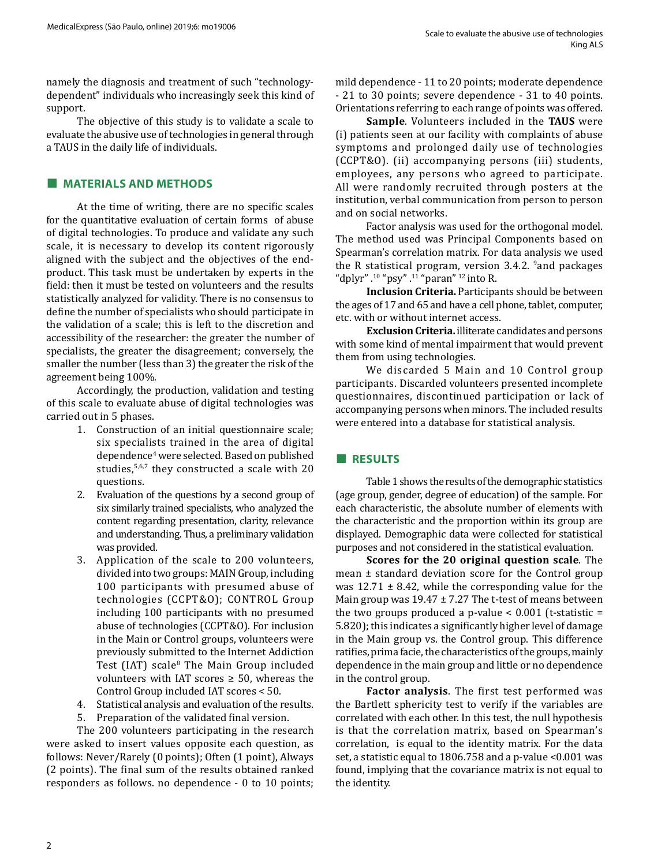namely the diagnosis and treatment of such "technologydependent" individuals who increasingly seek this kind of support.

The objective of this study is to validate a scale to evaluate the abusive use of technologies in general through a TAUS in the daily life of individuals.

# **■ MATERIALS AND METHODS**

At the time of writing, there are no specific scales for the quantitative evaluation of certain forms of abuse of digital technologies. To produce and validate any such scale, it is necessary to develop its content rigorously aligned with the subject and the objectives of the endproduct. This task must be undertaken by experts in the field: then it must be tested on volunteers and the results statistically analyzed for validity. There is no consensus to define the number of specialists who should participate in the validation of a scale; this is left to the discretion and accessibility of the researcher: the greater the number of specialists, the greater the disagreement; conversely, the smaller the number (less than 3) the greater the risk of the agreement being 100%.

Accordingly, the production, validation and testing of this scale to evaluate abuse of digital technologies was carried out in 5 phases.

- 1. Construction of an initial questionnaire scale; six specialists trained in the area of digital dependence4 were selected. Based on published studies,<sup>5,6,7</sup> they constructed a scale with 20 questions.
- 2. Evaluation of the questions by a second group of six similarly trained specialists, who analyzed the content regarding presentation, clarity, relevance and understanding. Thus, a preliminary validation was provided.
- 3. Application of the scale to 200 volunteers, divided into two groups: MAIN Group, including 100 participants with presumed abuse of technologies (CCPT&O); CONTROL Group including 100 participants with no presumed abuse of technologies (CCPT&O). For inclusion in the Main or Control groups, volunteers were previously submitted to the Internet Addiction Test (IAT) scale<sup>8</sup> The Main Group included volunteers with IAT scores  $\geq$  50, whereas the Control Group included IAT scores < 50.
- 4. Statistical analysis and evaluation of the results.
- 5. Preparation of the validated final version.

The 200 volunteers participating in the research were asked to insert values opposite each question, as follows: Never/Rarely (0 points); Often (1 point), Always (2 points). The final sum of the results obtained ranked responders as follows. no dependence - 0 to 10 points;

mild dependence - 11 to 20 points; moderate dependence - 21 to 30 points; severe dependence - 31 to 40 points. Orientations referring to each range of points was offered.

**Sample**. Volunteers included in the **TAUS** were (i) patients seen at our facility with complaints of abuse symptoms and prolonged daily use of technologies (CCPT&O). (ii) accompanying persons (iii) students, employees, any persons who agreed to participate. All were randomly recruited through posters at the institution, verbal communication from person to person and on social networks.

Factor analysis was used for the orthogonal model. The method used was Principal Components based on Spearman's correlation matrix. For data analysis we used the R statistical program, version 3.4.2. <sup>9</sup>and packages "dplyr".<sup>10</sup> "psy".<sup>11</sup> "paran"<sup>12</sup> into R.

**Inclusion Criteria.** Participants should be between the ages of 17 and 65 and have a cell phone, tablet, computer, etc. with or without internet access.

**Exclusion Criteria.** illiterate candidates and persons with some kind of mental impairment that would prevent them from using technologies.

We discarded 5 Main and 10 Control group participants. Discarded volunteers presented incomplete questionnaires, discontinued participation or lack of accompanying persons when minors. The included results were entered into a database for statistical analysis.

## **■ RESULTS**

Table 1 shows the results of the demographic statistics (age group, gender, degree of education) of the sample. For each characteristic, the absolute number of elements with the characteristic and the proportion within its group are displayed. Demographic data were collected for statistical purposes and not considered in the statistical evaluation.

**Scores for the 20 original question scale**. The mean ± standard deviation score for the Control group was  $12.71 \pm 8.42$ , while the corresponding value for the Main group was  $19.47 \pm 7.27$  The t-test of means between the two groups produced a p-value  $< 0.001$  (t-statistic = 5.820); this indicates a significantly higher level of damage in the Main group vs. the Control group. This difference ratifies, prima facie, the characteristics of the groups, mainly dependence in the main group and little or no dependence in the control group.

**Factor analysis**. The first test performed was the Bartlett sphericity test to verify if the variables are correlated with each other. In this test, the null hypothesis is that the correlation matrix, based on Spearman's correlation, is equal to the identity matrix. For the data set, a statistic equal to 1806.758 and a p-value <0.001 was found, implying that the covariance matrix is not equal to the identity.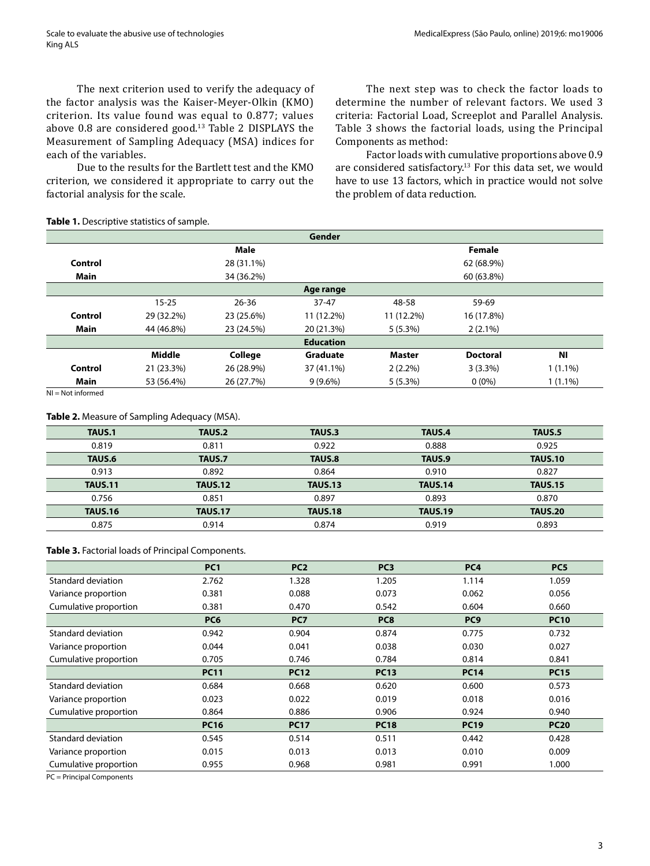The next criterion used to verify the adequacy of the factor analysis was the Kaiser-Meyer-Olkin (KMO) criterion. Its value found was equal to 0.877; values above 0.8 are considered good. $13$  Table 2 DISPLAYS the Measurement of Sampling Adequacy (MSA) indices for each of the variables.

Due to the results for the Bartlett test and the KMO criterion, we considered it appropriate to carry out the factorial analysis for the scale.

The next step was to check the factor loads to determine the number of relevant factors. We used 3 criteria: Factorial Load, Screeplot and Parallel Analysis. Table 3 shows the factorial loads, using the Principal Components as method:

Factor loads with cumulative proportions above 0.9 are considered satisfactory.<sup>13</sup> For this data set, we would have to use 13 factors, which in practice would not solve the problem of data reduction.

### **Table 1.** Descriptive statistics of sample.

|                  |            |                | Gender     |               |                 |            |
|------------------|------------|----------------|------------|---------------|-----------------|------------|
|                  |            | Male           |            |               | <b>Female</b>   |            |
| Control          | 28 (31.1%) |                |            | 62 (68.9%)    |                 |            |
| <b>Main</b>      | 34 (36.2%) |                |            | 60 (63.8%)    |                 |            |
| Age range        |            |                |            |               |                 |            |
|                  | $15 - 25$  | $26 - 36$      | $37 - 47$  | 48-58         | 59-69           |            |
| <b>Control</b>   | 29 (32.2%) | 23 (25.6%)     | 11 (12.2%) | 11 (12.2%)    | 16 (17.8%)      |            |
| <b>Main</b>      | 44 (46.8%) | 23 (24.5%)     | 20 (21.3%) | $5(5.3\%)$    | $2(2.1\%)$      |            |
| <b>Education</b> |            |                |            |               |                 |            |
|                  | Middle     | <b>College</b> | Graduate   | <b>Master</b> | <b>Doctoral</b> | <b>NI</b>  |
| Control          | 21 (23.3%) | 26 (28.9%)     | 37 (41.1%) | $2(2.2\%)$    | $3(3.3\%)$      | $1(1.1\%)$ |
| <b>Main</b>      | 53 (56.4%) | 26 (27.7%)     | $9(9.6\%)$ | $5(5.3\%)$    | $0(0\%)$        | $1(1.1\%)$ |

 $NI = Not informed$ 

## **Table 2.** Measure of Sampling Adequacy (MSA).

| <b>TAUS.1</b>  | TAUS. <sub>2</sub> | TAUS.3         | TAUS.4         | TAUS.5         |
|----------------|--------------------|----------------|----------------|----------------|
| 0.819          | 0.811              | 0.922          | 0.888          | 0.925          |
| TAUS.6         | <b>TAUS.7</b>      | <b>TAUS.8</b>  | TAUS.9         | <b>TAUS.10</b> |
| 0.913          | 0.892              | 0.864          | 0.910          | 0.827          |
| <b>TAUS.11</b> | <b>TAUS.12</b>     | <b>TAUS.13</b> | <b>TAUS.14</b> | <b>TAUS.15</b> |
| 0.756          | 0.851              | 0.897          | 0.893          | 0.870          |
| <b>TAUS.16</b> | <b>TAUS.17</b>     | <b>TAUS.18</b> | <b>TAUS.19</b> | <b>TAUS.20</b> |
| 0.875          | 0.914              | 0.874          | 0.919          | 0.893          |

#### **Table 3.** Factorial loads of Principal Components.

|                       | PC <sub>1</sub> | PC <sub>2</sub> | PC <sub>3</sub> | PC <sub>4</sub> | PC <sub>5</sub> |
|-----------------------|-----------------|-----------------|-----------------|-----------------|-----------------|
| Standard deviation    | 2.762           | 1.328           | 1.205           | 1.114           | 1.059           |
| Variance proportion   | 0.381           | 0.088           | 0.073           | 0.062           | 0.056           |
| Cumulative proportion | 0.381           | 0.470           | 0.542           | 0.604           | 0.660           |
|                       | PC <sub>6</sub> | PC7             | PC <sub>8</sub> | PC <sub>9</sub> | <b>PC10</b>     |
| Standard deviation    | 0.942           | 0.904           | 0.874           | 0.775           | 0.732           |
| Variance proportion   | 0.044           | 0.041           | 0.038           | 0.030           | 0.027           |
| Cumulative proportion | 0.705           | 0.746           | 0.784           | 0.814           | 0.841           |
|                       | <b>PC11</b>     | <b>PC12</b>     | <b>PC13</b>     | <b>PC14</b>     | <b>PC15</b>     |
| Standard deviation    | 0.684           | 0.668           | 0.620           | 0.600           | 0.573           |
| Variance proportion   | 0.023           | 0.022           | 0.019           | 0.018           | 0.016           |
| Cumulative proportion | 0.864           | 0.886           | 0.906           | 0.924           | 0.940           |
|                       | <b>PC16</b>     | <b>PC17</b>     | <b>PC18</b>     | <b>PC19</b>     | <b>PC20</b>     |
| Standard deviation    | 0.545           | 0.514           | 0.511           | 0.442           | 0.428           |
| Variance proportion   | 0.015           | 0.013           | 0.013           | 0.010           | 0.009           |
| Cumulative proportion | 0.955           | 0.968           | 0.981           | 0.991           | 1.000           |

PC = Principal Components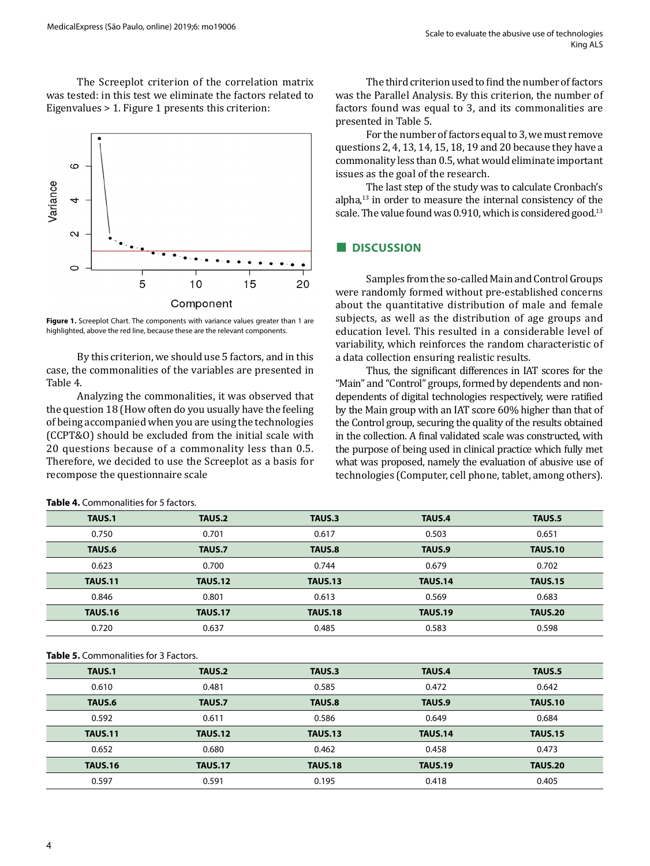The Screeplot criterion of the correlation matrix was tested: in this test we eliminate the factors related to Eigenvalues > 1. Figure 1 presents this criterion:



**Figure 1.** Screeplot Chart. The components with variance values greater than 1 are highlighted, above the red line, because these are the relevant components.

By this criterion, we should use 5 factors, and in this case, the commonalities of the variables are presented in Table 4.

Analyzing the commonalities, it was observed that the question 18 (How often do you usually have the feeling of being accompanied when you are using the technologies (CCPT&O) should be excluded from the initial scale with 20 questions because of a commonality less than 0.5. Therefore, we decided to use the Screeplot as a basis for recompose the questionnaire scale

### **Table 4.** Commonalities for 5 factors.

The third criterion used to find the number of factors was the Parallel Analysis. By this criterion, the number of factors found was equal to 3, and its commonalities are presented in Table 5.

For the number of factors equal to 3, we must remove questions 2, 4, 13, 14, 15, 18, 19 and 20 because they have a commonality less than 0.5, what would eliminate important issues as the goal of the research.

The last step of the study was to calculate Cronbach's alpha,13 in order to measure the internal consistency of the scale. The value found was  $0.910$ , which is considered good.<sup>13</sup>

# **■ DISCUSSION**

Samples from the so-called Main and Control Groups were randomly formed without pre-established concerns about the quantitative distribution of male and female subjects, as well as the distribution of age groups and education level. This resulted in a considerable level of variability, which reinforces the random characteristic of a data collection ensuring realistic results.

Thus, the significant differences in IAT scores for the "Main" and "Control" groups, formed by dependents and nondependents of digital technologies respectively, were ratified by the Main group with an IAT score 60% higher than that of the Control group, securing the quality of the results obtained in the collection. A final validated scale was constructed, with the purpose of being used in clinical practice which fully met what was proposed, namely the evaluation of abusive use of technologies (Computer, cell phone, tablet, among others).

| <b>TAUS.1</b>  | TAUS. <sub>2</sub> | TAUS.3         | <b>TAUS.4</b>  | TAUS.5         |
|----------------|--------------------|----------------|----------------|----------------|
| 0.750          | 0.701              | 0.617          | 0.503          | 0.651          |
| TAUS.6         | TAUS.7             | TAUS.8         | TAUS.9         | <b>TAUS.10</b> |
| 0.623          | 0.700              | 0.744          | 0.679          | 0.702          |
| <b>TAUS.11</b> | <b>TAUS.12</b>     | <b>TAUS.13</b> | <b>TAUS.14</b> | <b>TAUS.15</b> |
| 0.846          | 0.801              | 0.613          | 0.569          | 0.683          |
| <b>TAUS.16</b> | <b>TAUS.17</b>     | <b>TAUS.18</b> | <b>TAUS.19</b> | <b>TAUS.20</b> |
| 0.720          | 0.637              | 0.485          | 0.583          | 0.598          |

**Table 5.** Commonalities for 3 Factors.

| <b>TAUS.1</b>  | TAUS.2         | TAUS.3         | TAUS.4         | TAUS.5         |
|----------------|----------------|----------------|----------------|----------------|
| 0.610          | 0.481          | 0.585          | 0.472          | 0.642          |
| TAUS.6         | TAUS.7         | TAUS.8         | TAUS.9         | <b>TAUS.10</b> |
| 0.592          | 0.611          | 0.586          | 0.649          | 0.684          |
| <b>TAUS.11</b> | <b>TAUS.12</b> | <b>TAUS.13</b> | <b>TAUS.14</b> | <b>TAUS.15</b> |
| 0.652          | 0.680          | 0.462          | 0.458          | 0.473          |
| <b>TAUS.16</b> | <b>TAUS.17</b> | <b>TAUS.18</b> | <b>TAUS.19</b> | <b>TAUS.20</b> |
| 0.597          | 0.591          | 0.195          | 0.418          | 0.405          |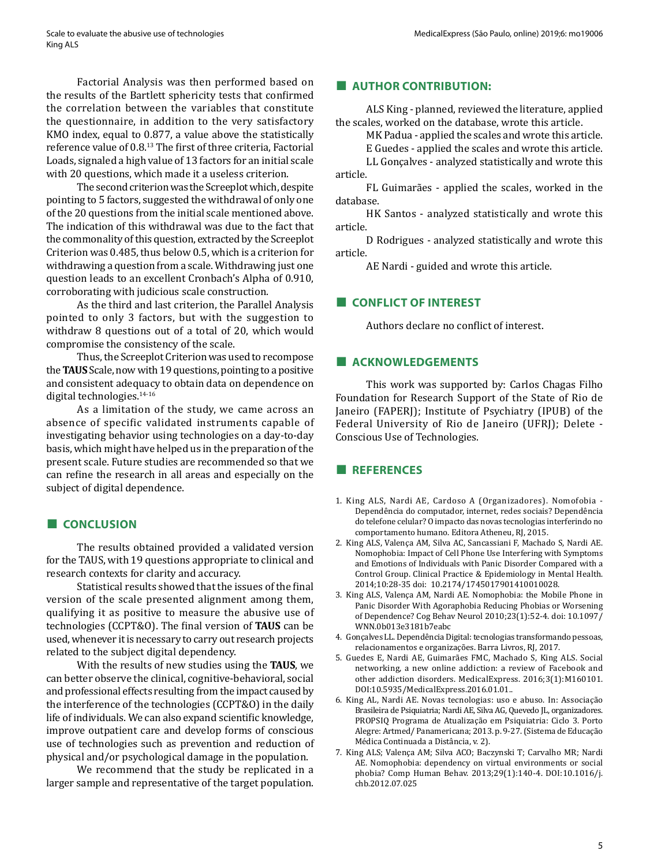Factorial Analysis was then performed based on the results of the Bartlett sphericity tests that confirmed the correlation between the variables that constitute the questionnaire, in addition to the very satisfactory KMO index, equal to 0.877, a value above the statistically reference value of 0.8.13 The first of three criteria, Factorial Loads, signaled a high value of 13 factors for an initial scale with 20 questions, which made it a useless criterion.

The second criterion was the Screeplot which, despite pointing to 5 factors, suggested the withdrawal of only one of the 20 questions from the initial scale mentioned above. The indication of this withdrawal was due to the fact that the commonality of this question, extracted by the Screeplot Criterion was 0.485, thus below 0.5, which is a criterion for withdrawing a question from a scale. Withdrawing just one question leads to an excellent Cronbach's Alpha of 0.910, corroborating with judicious scale construction.

As the third and last criterion, the Parallel Analysis pointed to only 3 factors, but with the suggestion to withdraw 8 questions out of a total of 20, which would compromise the consistency of the scale.

Thus, the Screeplot Criterion was used to recompose the **TAUS** Scale, now with 19 questions, pointing to a positive and consistent adequacy to obtain data on dependence on digital technologies.14-16

As a limitation of the study, we came across an absence of specific validated instruments capable of investigating behavior using technologies on a day-to-day basis, which might have helped us in the preparation of the present scale. Future studies are recommended so that we can refine the research in all areas and especially on the subject of digital dependence.

# **■ CONCLUSION**

The results obtained provided a validated version for the TAUS, with 19 questions appropriate to clinical and research contexts for clarity and accuracy.

Statistical results showed that the issues of the final version of the scale presented alignment among them, qualifying it as positive to measure the abusive use of technologies (CCPT&O). The final version of **TAUS** can be used, whenever it is necessary to carry out research projects related to the subject digital dependency.

With the results of new studies using the **TAUS**, we can better observe the clinical, cognitive-behavioral, social and professional effects resulting from the impact caused by the interference of the technologies (CCPT&O) in the daily life of individuals. We can also expand scientific knowledge, improve outpatient care and develop forms of conscious use of technologies such as prevention and reduction of physical and/or psychological damage in the population.

We recommend that the study be replicated in a larger sample and representative of the target population.

# **■ AUTHOR CONTRIBUTION:**

ALS King - planned, reviewed the literature, applied the scales, worked on the database, wrote this article.

MK Padua - applied the scales and wrote this article.

E Guedes - applied the scales and wrote this article. LL Gonçalves - analyzed statistically and wrote this

article. FL Guimarães - applied the scales, worked in the

database. HK Santos - analyzed statistically and wrote this article.

D Rodrigues - analyzed statistically and wrote this article.

AE Nardi - guided and wrote this article.

# **■ CONFLICT OF INTEREST**

Authors declare no conflict of interest.

# **■ ACKNOWLEDGEMENTS**

This work was supported by: Carlos Chagas Filho Foundation for Research Support of the State of Rio de Janeiro (FAPERJ); Institute of Psychiatry (IPUB) of the Federal University of Rio de Janeiro (UFRJ); Delete - Conscious Use of Technologies.

## **■ REFERENCES**

- 1. King ALS, Nardi AE, Cardoso A (Organizadores). Nomofobia Dependência do computador, internet, redes sociais? Dependência do telefone celular? O impacto das novas tecnologias interferindo no comportamento humano. Editora Atheneu, RJ, 2015.
- 2. King ALS, Valença AM, Silva AC, Sancassiani F, Machado S, Nardi AE. Nomophobia: Impact of Cell Phone Use Interfering with Symptoms and Emotions of Individuals with Panic Disorder Compared with a Control Group. Clinical Practice & Epidemiology in Mental Health. 2014;10:28-35 doi: 10.2174/1745017901410010028.
- 3. King ALS, Valença AM, Nardi AE. Nomophobia: the Mobile Phone in Panic Disorder With Agoraphobia Reducing Phobias or Worsening of Dependence? Cog Behav Neurol 2010;23(1):52-4. doi: 10.1097/ WNN.0b013e3181b7eabc
- 4. Gonçalves LL. Dependência Digital: tecnologias transformando pessoas, relacionamentos e organizações. Barra Livros, RJ, 2017.
- 5. Guedes E, Nardi AE, Guimarães FMC, Machado S, King ALS. Social networking, a new online addiction: a review of Facebook and other addiction disorders. MedicalExpress. 2016;3(1):M160101. DOI:10.5935/MedicalExpress.2016.01.01..
- 6. King AL, Nardi AE. Novas tecnologias: uso e abuso. In: Associação Brasileira de Psiquiatria; Nardi AE, Silva AG, Quevedo JL, organizadores. PROPSIQ Programa de Atualização em Psiquiatria: Ciclo 3. Porto Alegre: Artmed/ Panamericana; 2013. p. 9-27. (Sistema de Educação Médica Continuada a Distância, v. 2).
- 7. King ALS; Valença AM; Silva ACO; Baczynski T; Carvalho MR; Nardi AE. Nomophobia: dependency on virtual environments or social phobia? Comp Human Behav. 2013;29(1):140-4. DOI:10.1016/j. chb.2012.07.025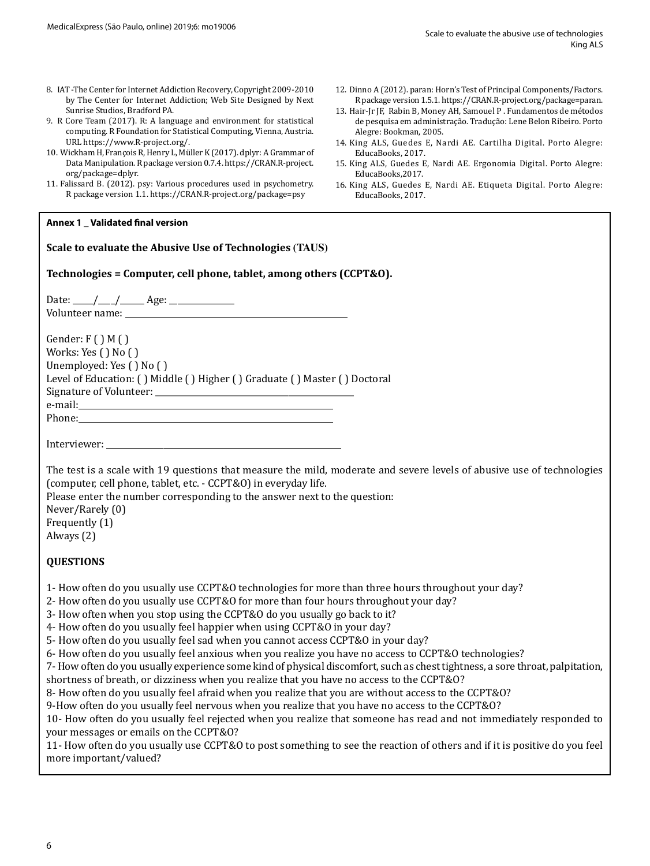- 8. IAT -The Center for Internet Addiction Recovery, Copyright 2009-2010 by The Center for Internet Addiction; Web Site Designed by [Next](http://nextsunrise.com/)  [Sunrise Studios, Bradford PA](http://nextsunrise.com/).
- 9. R Core Team (2017). R: A language and environment for statistical computing. R Foundation for Statistical Computing, Vienna, Austria. URL [https://www.R-project.org/.](https://www.R-project.org/)
- 10. Wickham H, François R, Henry L, Müller K (2017). dplyr: A Grammar of Data Manipulation. R package version 0.7.4. [https://CRAN.R-project.](https://CRAN.R-project.org/package=dplyr) [org/package=dplyr.](https://CRAN.R-project.org/package=dplyr)
- 11. Falissard B. (2012). psy: Various procedures used in psychometry. R package version 1.1. <https://CRAN.R-project.org/package=psy>

#### **Annex 1 \_ Validated final version**

**Scale to evaluate the Abusive Use of Technologies (TAUS)**

**Technologies = Computer, cell phone, tablet, among others (CCPT&O).**

Date: \_\_\_\_\_/\_\_\_\_/\_\_\_\_\_\_ Age: \_\_\_\_\_\_\_\_\_\_\_\_\_\_\_\_ Volunteer name: \_\_\_\_\_\_\_\_\_\_\_\_\_\_\_\_\_\_\_\_\_\_\_\_\_\_\_\_\_\_\_\_\_\_\_\_\_\_\_\_\_\_\_\_\_\_\_\_\_\_\_\_\_\_\_

Gender:  $F()M()$ Works: Yes ( ) No ( ) Unemployed: Yes ( ) No ( ) Level of Education: ( ) Middle ( ) Higher ( ) Graduate ( ) Master ( ) Doctoral Signature of Volunteer: \_\_\_\_\_\_\_\_\_\_\_\_\_\_\_\_\_\_\_\_\_\_\_\_\_\_\_\_\_\_\_\_\_\_\_\_\_\_\_\_\_\_\_\_\_\_\_\_\_ e-mail:\_\_\_\_\_\_\_\_\_\_\_\_\_\_\_\_\_\_\_\_\_\_\_\_\_\_\_\_\_\_\_\_\_\_\_\_\_\_\_\_\_\_\_\_\_\_\_\_\_\_\_\_\_\_\_\_\_\_\_\_\_\_\_ Phone:\_\_\_\_\_\_\_\_\_\_\_\_\_\_\_\_\_\_\_\_\_\_\_\_\_\_\_\_\_\_\_\_\_\_\_\_\_\_\_\_\_\_\_\_\_\_\_\_\_\_\_\_\_\_\_\_\_\_\_\_\_\_\_

Interviewer: \_\_\_\_\_\_\_\_\_\_\_\_\_\_\_\_\_\_\_\_\_\_\_\_\_\_\_\_\_\_\_\_\_\_\_\_\_\_\_\_\_\_\_\_\_\_\_\_\_\_\_\_\_\_\_\_\_\_

The test is a scale with 19 questions that measure the mild, moderate and severe levels of abusive use of technologies (computer, cell phone, tablet, etc. - CCPT&O) in everyday life.

Please enter the number corresponding to the answer next to the question:

Never/Rarely (0) Frequently (1) Always (2)

## **QUESTIONS**

1- How often do you usually use CCPT&O technologies for more than three hours throughout your day?

2- How often do you usually use CCPT&O for more than four hours throughout your day?

- 3- How often when you stop using the CCPT&O do you usually go back to it?
- 4- How often do you usually feel happier when using CCPT&O in your day?
- 5- How often do you usually feel sad when you cannot access CCPT&O in your day?
- 6- How often do you usually feel anxious when you realize you have no access to CCPT&O technologies?

7- How often do you usually experience some kind of physical discomfort, such as chest tightness, a sore throat, palpitation, shortness of breath, or dizziness when you realize that you have no access to the CCPT&O?

8- How often do you usually feel afraid when you realize that you are without access to the CCPT&O?

9-How often do you usually feel nervous when you realize that you have no access to the CCPT&O?

10- How often do you usually feel rejected when you realize that someone has read and not immediately responded to your messages or emails on the CCPT&O?

11- How often do you usually use CCPT&O to post something to see the reaction of others and if it is positive do you feel more important/valued?

- 12. Dinno A (2012). paran: Horn's Test of Principal Components/Factors. R package version 1.5.1.<https://CRAN.R-project.org/package=paran>.
- 13. Hair-Jr JF, Rabin B, Money AH, Samouel P . Fundamentos de métodos de pesquisa em administração. Tradução: Lene Belon Ribeiro. Porto Alegre: Bookman, 2005.
- 14. King ALS, Guedes E, Nardi AE. Cartilha Digital. Porto Alegre: EducaBooks, 2017.
- 15. King ALS, Guedes E, Nardi AE. Ergonomia Digital. Porto Alegre: EducaBooks,2017.
- 16. King ALS, Guedes E, Nardi AE. Etiqueta Digital. Porto Alegre: EducaBooks, 2017.